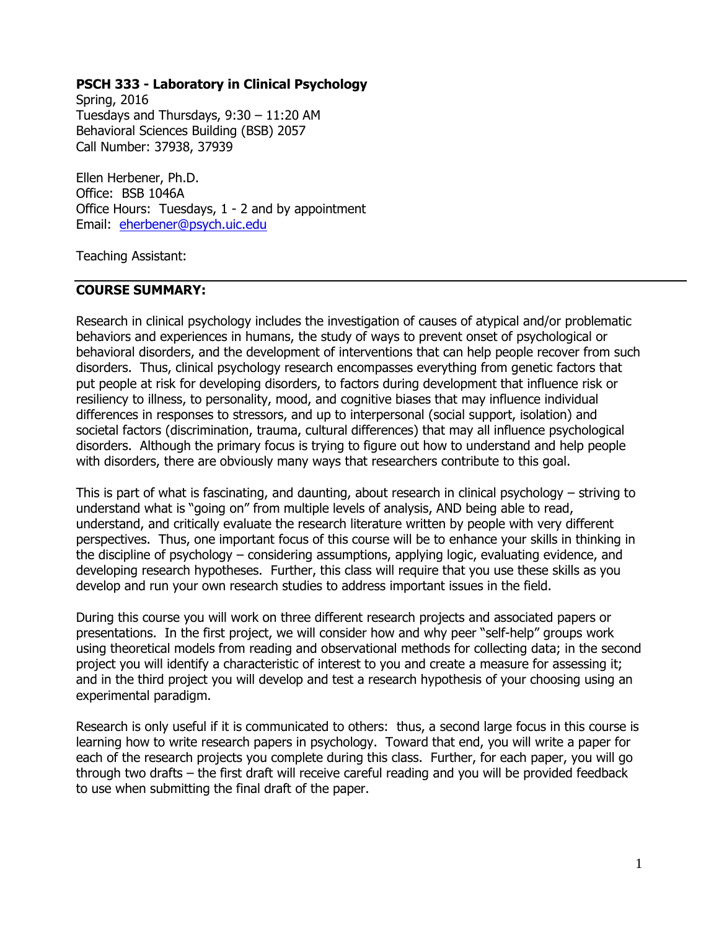## **PSCH 333 - Laboratory in Clinical Psychology**

Spring, 2016 Tuesdays and Thursdays, 9:30 – 11:20 AM Behavioral Sciences Building (BSB) 2057 Call Number: 37938, 37939

Ellen Herbener, Ph.D. Office: BSB 1046A Office Hours: Tuesdays, 1 - 2 and by appointment Email: [eherbener@psych.uic.edu](mailto:eherbener@psych.uic.edu)

Teaching Assistant:

#### **COURSE SUMMARY:**

Research in clinical psychology includes the investigation of causes of atypical and/or problematic behaviors and experiences in humans, the study of ways to prevent onset of psychological or behavioral disorders, and the development of interventions that can help people recover from such disorders. Thus, clinical psychology research encompasses everything from genetic factors that put people at risk for developing disorders, to factors during development that influence risk or resiliency to illness, to personality, mood, and cognitive biases that may influence individual differences in responses to stressors, and up to interpersonal (social support, isolation) and societal factors (discrimination, trauma, cultural differences) that may all influence psychological disorders. Although the primary focus is trying to figure out how to understand and help people with disorders, there are obviously many ways that researchers contribute to this goal.

This is part of what is fascinating, and daunting, about research in clinical psychology – striving to understand what is "going on" from multiple levels of analysis, AND being able to read, understand, and critically evaluate the research literature written by people with very different perspectives. Thus, one important focus of this course will be to enhance your skills in thinking in the discipline of psychology – considering assumptions, applying logic, evaluating evidence, and developing research hypotheses. Further, this class will require that you use these skills as you develop and run your own research studies to address important issues in the field.

During this course you will work on three different research projects and associated papers or presentations. In the first project, we will consider how and why peer "self-help" groups work using theoretical models from reading and observational methods for collecting data; in the second project you will identify a characteristic of interest to you and create a measure for assessing it; and in the third project you will develop and test a research hypothesis of your choosing using an experimental paradigm.

Research is only useful if it is communicated to others: thus, a second large focus in this course is learning how to write research papers in psychology. Toward that end, you will write a paper for each of the research projects you complete during this class. Further, for each paper, you will go through two drafts – the first draft will receive careful reading and you will be provided feedback to use when submitting the final draft of the paper.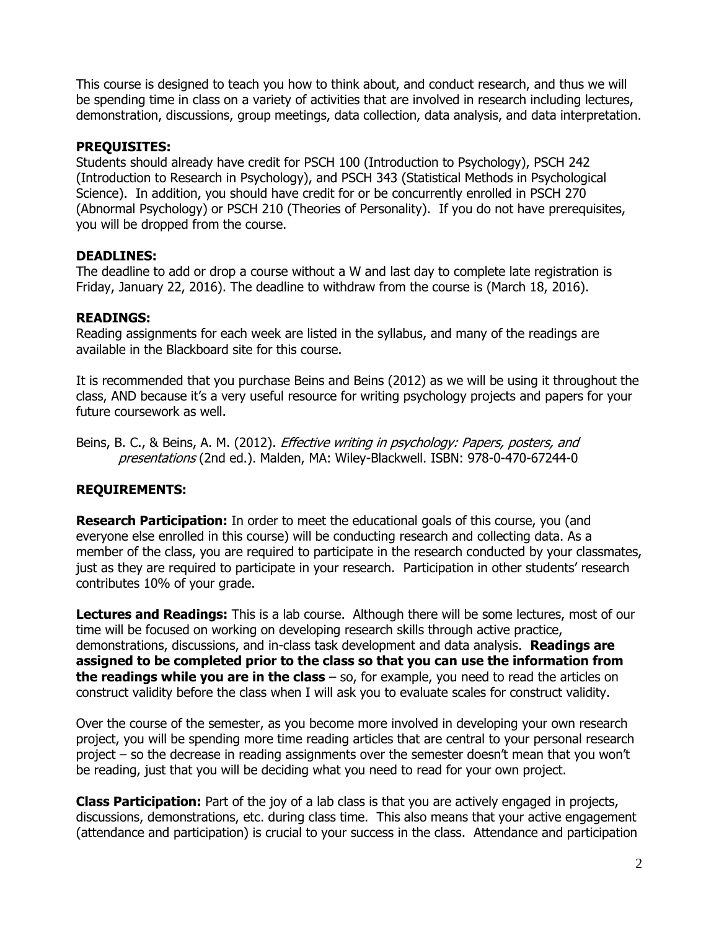This course is designed to teach you how to think about, and conduct research, and thus we will be spending time in class on a variety of activities that are involved in research including lectures, demonstration, discussions, group meetings, data collection, data analysis, and data interpretation.

#### **PREQUISITES:**

Students should already have credit for PSCH 100 (Introduction to Psychology), PSCH 242 (Introduction to Research in Psychology), and PSCH 343 (Statistical Methods in Psychological Science). In addition, you should have credit for or be concurrently enrolled in PSCH 270 (Abnormal Psychology) or PSCH 210 (Theories of Personality). If you do not have prerequisites, you will be dropped from the course.

#### **DEADLINES:**

The deadline to add or drop a course without a W and last day to complete late registration is Friday, January 22, 2016). The deadline to withdraw from the course is (March 18, 2016).

#### **READINGS:**

Reading assignments for each week are listed in the syllabus, and many of the readings are available in the Blackboard site for this course.

It is recommended that you purchase Beins and Beins (2012) as we will be using it throughout the class, AND because it's a very useful resource for writing psychology projects and papers for your future coursework as well.

Beins, B. C., & Beins, A. M. (2012). *Effective writing in psychology: Papers, posters, and* presentations (2nd ed.). Malden, MA: Wiley-Blackwell. ISBN: 978-0-470-67244-0

## **REQUIREMENTS:**

**Research Participation:** In order to meet the educational goals of this course, you (and everyone else enrolled in this course) will be conducting research and collecting data. As a member of the class, you are required to participate in the research conducted by your classmates, just as they are required to participate in your research. Participation in other students' research contributes 10% of your grade.

**Lectures and Readings:** This is a lab course. Although there will be some lectures, most of our time will be focused on working on developing research skills through active practice, demonstrations, discussions, and in-class task development and data analysis. **Readings are assigned to be completed prior to the class so that you can use the information from the readings while you are in the class** – so, for example, you need to read the articles on construct validity before the class when I will ask you to evaluate scales for construct validity.

Over the course of the semester, as you become more involved in developing your own research project, you will be spending more time reading articles that are central to your personal research project – so the decrease in reading assignments over the semester doesn't mean that you won't be reading, just that you will be deciding what you need to read for your own project.

**Class Participation:** Part of the joy of a lab class is that you are actively engaged in projects, discussions, demonstrations, etc. during class time. This also means that your active engagement (attendance and participation) is crucial to your success in the class. Attendance and participation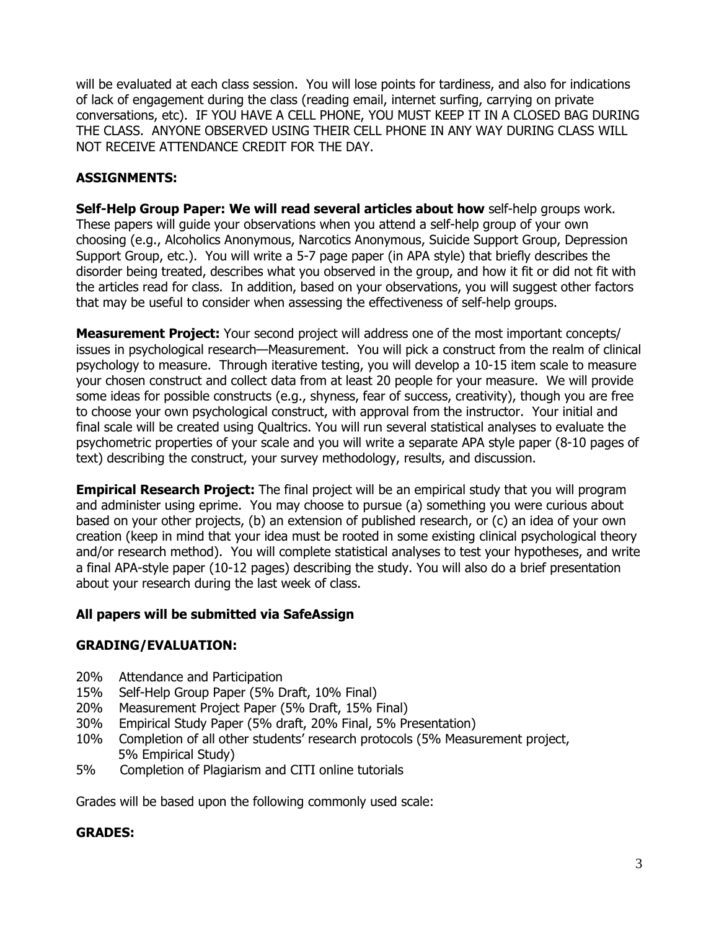will be evaluated at each class session. You will lose points for tardiness, and also for indications of lack of engagement during the class (reading email, internet surfing, carrying on private conversations, etc). IF YOU HAVE A CELL PHONE, YOU MUST KEEP IT IN A CLOSED BAG DURING THE CLASS. ANYONE OBSERVED USING THEIR CELL PHONE IN ANY WAY DURING CLASS WILL NOT RECEIVE ATTENDANCE CREDIT FOR THE DAY.

## **ASSIGNMENTS:**

**Self-Help Group Paper: We will read several articles about how** self-help groups work. These papers will guide your observations when you attend a self-help group of your own choosing (e.g., Alcoholics Anonymous, Narcotics Anonymous, Suicide Support Group, Depression Support Group, etc.). You will write a 5-7 page paper (in APA style) that briefly describes the disorder being treated, describes what you observed in the group, and how it fit or did not fit with the articles read for class. In addition, based on your observations, you will suggest other factors that may be useful to consider when assessing the effectiveness of self-help groups.

**Measurement Project:** Your second project will address one of the most important concepts/ issues in psychological research—Measurement. You will pick a construct from the realm of clinical psychology to measure. Through iterative testing, you will develop a 10-15 item scale to measure your chosen construct and collect data from at least 20 people for your measure. We will provide some ideas for possible constructs (e.g., shyness, fear of success, creativity), though you are free to choose your own psychological construct, with approval from the instructor. Your initial and final scale will be created using Qualtrics. You will run several statistical analyses to evaluate the psychometric properties of your scale and you will write a separate APA style paper (8-10 pages of text) describing the construct, your survey methodology, results, and discussion.

**Empirical Research Project:** The final project will be an empirical study that you will program and administer using eprime. You may choose to pursue (a) something you were curious about based on your other projects, (b) an extension of published research, or (c) an idea of your own creation (keep in mind that your idea must be rooted in some existing clinical psychological theory and/or research method). You will complete statistical analyses to test your hypotheses, and write a final APA-style paper (10-12 pages) describing the study. You will also do a brief presentation about your research during the last week of class.

## **All papers will be submitted via SafeAssign**

## **GRADING/EVALUATION:**

- 20% Attendance and Participation
- 15% Self-Help Group Paper (5% Draft, 10% Final)
- 20% Measurement Project Paper (5% Draft, 15% Final)
- 30% Empirical Study Paper (5% draft, 20% Final, 5% Presentation)
- 10% Completion of all other students' research protocols (5% Measurement project, 5% Empirical Study)
- 5% Completion of Plagiarism and CITI online tutorials

Grades will be based upon the following commonly used scale:

## **GRADES:**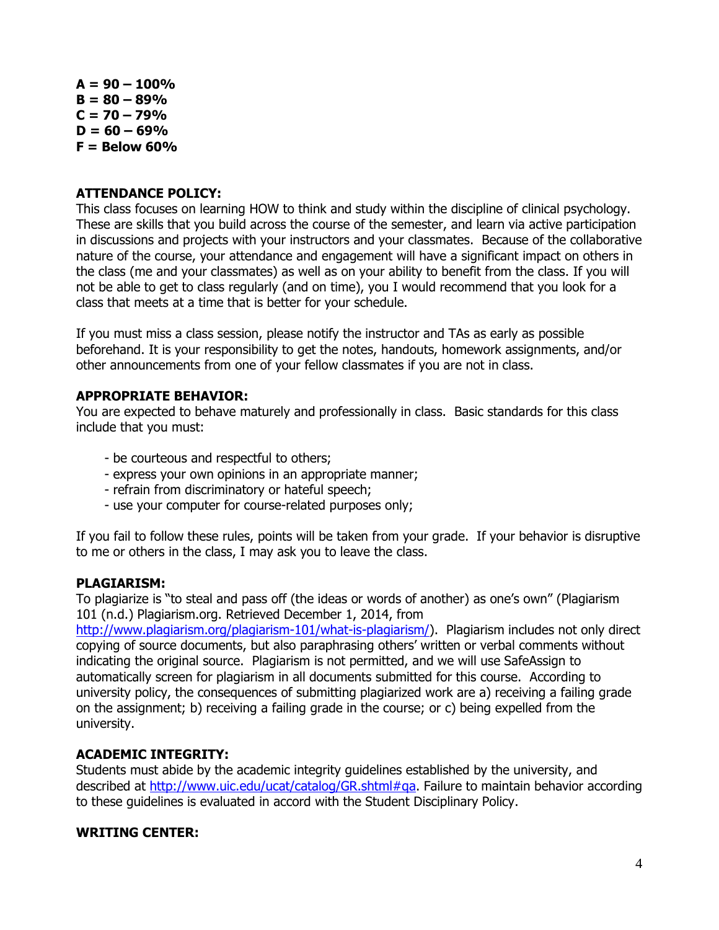$A = 90 - 100\%$  $B = 80 - 89%$  $C = 70 - 79%$  $D = 60 - 69%$ **F = Below 60%**

#### **ATTENDANCE POLICY:**

This class focuses on learning HOW to think and study within the discipline of clinical psychology. These are skills that you build across the course of the semester, and learn via active participation in discussions and projects with your instructors and your classmates. Because of the collaborative nature of the course, your attendance and engagement will have a significant impact on others in the class (me and your classmates) as well as on your ability to benefit from the class. If you will not be able to get to class regularly (and on time), you I would recommend that you look for a class that meets at a time that is better for your schedule.

If you must miss a class session, please notify the instructor and TAs as early as possible beforehand. It is your responsibility to get the notes, handouts, homework assignments, and/or other announcements from one of your fellow classmates if you are not in class.

#### **APPROPRIATE BEHAVIOR:**

You are expected to behave maturely and professionally in class. Basic standards for this class include that you must:

- be courteous and respectful to others;
- express your own opinions in an appropriate manner;
- refrain from discriminatory or hateful speech;
- use your computer for course-related purposes only;

If you fail to follow these rules, points will be taken from your grade. If your behavior is disruptive to me or others in the class, I may ask you to leave the class.

#### **PLAGIARISM:**

To plagiarize is "to steal and pass off (the ideas or words of another) as one's own" (Plagiarism 101 (n.d.) Plagiarism.org. Retrieved December 1, 2014, from

[http://www.plagiarism.org/plagiarism-101/what-is-plagiarism/\)](http://www.plagiarism.org/plagiarism-101/what-is-plagiarism/). Plagiarism includes not only direct copying of source documents, but also paraphrasing others' written or verbal comments without indicating the original source. Plagiarism is not permitted, and we will use SafeAssign to automatically screen for plagiarism in all documents submitted for this course. According to university policy, the consequences of submitting plagiarized work are a) receiving a failing grade on the assignment; b) receiving a failing grade in the course; or c) being expelled from the university.

#### **ACADEMIC INTEGRITY:**

Students must abide by the academic integrity guidelines established by the university, and described at [http://www.uic.edu/ucat/catalog/GR.shtml#qa.](http://www.uic.edu/ucat/catalog/GR.shtml#qa) Failure to maintain behavior according to these guidelines is evaluated in accord with the Student Disciplinary Policy.

#### **WRITING CENTER:**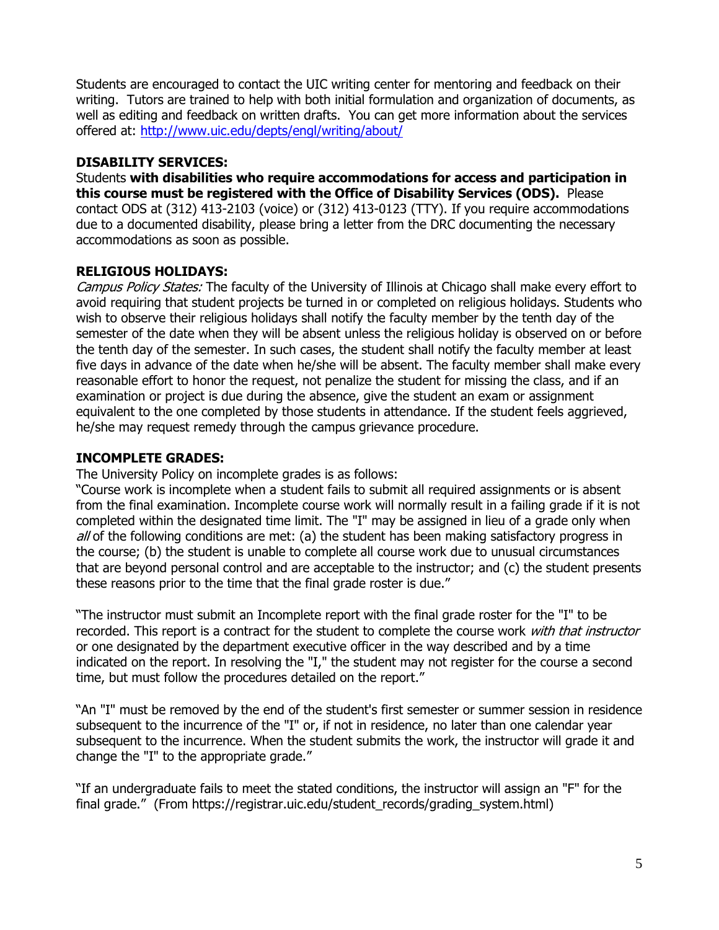Students are encouraged to contact the UIC writing center for mentoring and feedback on their writing. Tutors are trained to help with both initial formulation and organization of documents, as well as editing and feedback on written drafts. You can get more information about the services offered at:<http://www.uic.edu/depts/engl/writing/about/>

## **DISABILITY SERVICES:**

Students **with disabilities who require accommodations for access and participation in this course must be registered with the Office of Disability Services (ODS).** Please contact ODS at (312) 413-2103 (voice) or (312) 413-0123 (TTY). If you require accommodations due to a documented disability, please bring a letter from the DRC documenting the necessary accommodations as soon as possible.

## **RELIGIOUS HOLIDAYS:**

Campus Policy States: The faculty of the University of Illinois at Chicago shall make every effort to avoid requiring that student projects be turned in or completed on religious holidays. Students who wish to observe their religious holidays shall notify the faculty member by the tenth day of the semester of the date when they will be absent unless the religious holiday is observed on or before the tenth day of the semester. In such cases, the student shall notify the faculty member at least five days in advance of the date when he/she will be absent. The faculty member shall make every reasonable effort to honor the request, not penalize the student for missing the class, and if an examination or project is due during the absence, give the student an exam or assignment equivalent to the one completed by those students in attendance. If the student feels aggrieved, he/she may request remedy through the campus grievance procedure.

# **INCOMPLETE GRADES:**

The University Policy on incomplete grades is as follows:

"Course work is incomplete when a student fails to submit all required assignments or is absent from the final examination. Incomplete course work will normally result in a failing grade if it is not completed within the designated time limit. The "I" may be assigned in lieu of a grade only when all of the following conditions are met: (a) the student has been making satisfactory progress in the course; (b) the student is unable to complete all course work due to unusual circumstances that are beyond personal control and are acceptable to the instructor; and (c) the student presents these reasons prior to the time that the final grade roster is due."

"The instructor must submit an Incomplete report with the final grade roster for the "I" to be recorded. This report is a contract for the student to complete the course work with that instructor or one designated by the department executive officer in the way described and by a time indicated on the report. In resolving the "I," the student may not register for the course a second time, but must follow the procedures detailed on the report."

"An "I" must be removed by the end of the student's first semester or summer session in residence subsequent to the incurrence of the "I" or, if not in residence, no later than one calendar year subsequent to the incurrence. When the student submits the work, the instructor will grade it and change the "I" to the appropriate grade."

"If an undergraduate fails to meet the stated conditions, the instructor will assign an "F" for the final grade." (From https://registrar.uic.edu/student\_records/grading\_system.html)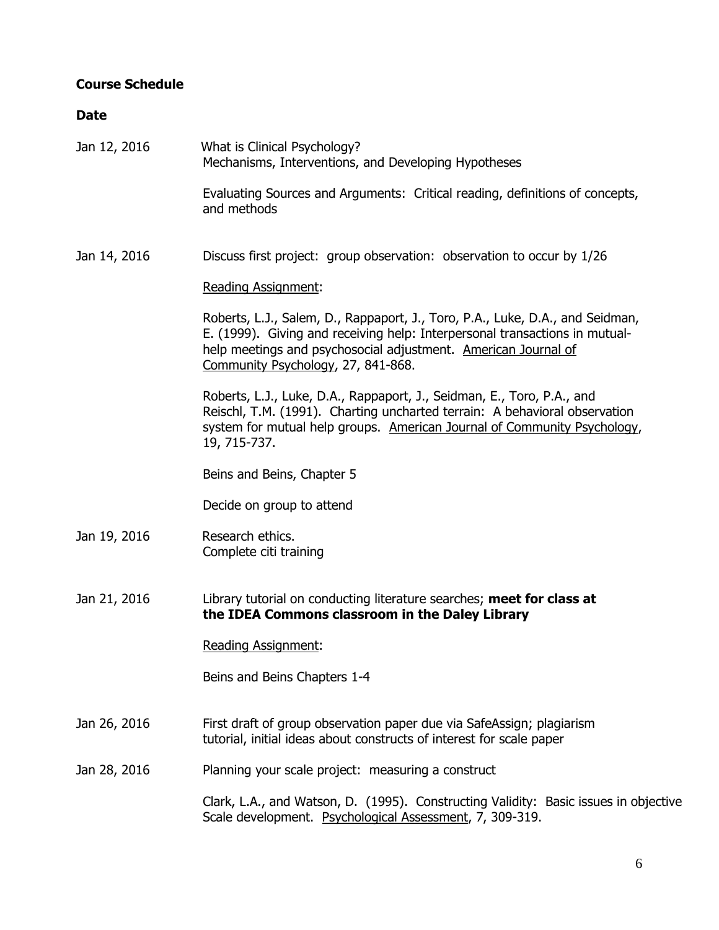# **Course Schedule**

## **Date**

| Jan 12, 2016 | What is Clinical Psychology?<br>Mechanisms, Interventions, and Developing Hypotheses                                                                                                                                                                                 |
|--------------|----------------------------------------------------------------------------------------------------------------------------------------------------------------------------------------------------------------------------------------------------------------------|
|              | Evaluating Sources and Arguments: Critical reading, definitions of concepts,<br>and methods                                                                                                                                                                          |
| Jan 14, 2016 | Discuss first project: group observation: observation to occur by 1/26                                                                                                                                                                                               |
|              | <b>Reading Assignment:</b>                                                                                                                                                                                                                                           |
|              | Roberts, L.J., Salem, D., Rappaport, J., Toro, P.A., Luke, D.A., and Seidman,<br>E. (1999). Giving and receiving help: Interpersonal transactions in mutual-<br>help meetings and psychosocial adjustment. American Journal of<br>Community Psychology, 27, 841-868. |
|              | Roberts, L.J., Luke, D.A., Rappaport, J., Seidman, E., Toro, P.A., and<br>Reischl, T.M. (1991). Charting uncharted terrain: A behavioral observation<br>system for mutual help groups. American Journal of Community Psychology,<br>19, 715-737.                     |
|              | Beins and Beins, Chapter 5                                                                                                                                                                                                                                           |
|              | Decide on group to attend                                                                                                                                                                                                                                            |
| Jan 19, 2016 | Research ethics.<br>Complete citi training                                                                                                                                                                                                                           |
| Jan 21, 2016 | Library tutorial on conducting literature searches; meet for class at<br>the IDEA Commons classroom in the Daley Library                                                                                                                                             |
|              | <b>Reading Assignment:</b>                                                                                                                                                                                                                                           |
|              | Beins and Beins Chapters 1-4                                                                                                                                                                                                                                         |
| Jan 26, 2016 | First draft of group observation paper due via SafeAssign; plagiarism<br>tutorial, initial ideas about constructs of interest for scale paper                                                                                                                        |
| Jan 28, 2016 | Planning your scale project: measuring a construct                                                                                                                                                                                                                   |
|              | Clark, L.A., and Watson, D. (1995). Constructing Validity: Basic issues in objective<br>Scale development. Psychological Assessment, 7, 309-319.                                                                                                                     |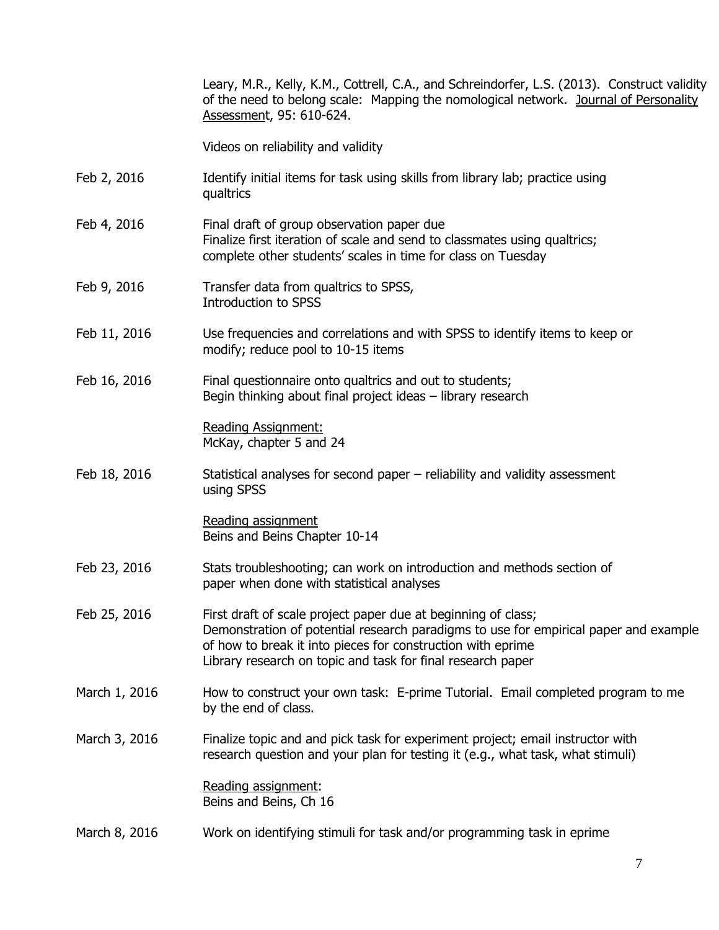Leary, M.R., Kelly, K.M., Cottrell, C.A., and Schreindorfer, L.S. (2013). Construct validity of the need to belong scale: Mapping the nomological network. Journal of Personality Assessment, 95: 610-624.

Videos on reliability and validity

- Feb 2, 2016 Identify initial items for task using skills from library lab; practice using qualtrics
- Feb 4, 2016 Final draft of group observation paper due Finalize first iteration of scale and send to classmates using qualtrics; complete other students' scales in time for class on Tuesday
- Feb 9, 2016 Transfer data from qualtrics to SPSS, Introduction to SPSS
- Feb 11, 2016 Use frequencies and correlations and with SPSS to identify items to keep or modify; reduce pool to 10-15 items
- Feb 16, 2016 Final questionnaire onto qualtrics and out to students; Begin thinking about final project ideas – library research

Reading Assignment: McKay, chapter 5 and 24

Feb 18, 2016 Statistical analyses for second paper – reliability and validity assessment using SPSS

> Reading assignment Beins and Beins Chapter 10-14

- Feb 23, 2016 Stats troubleshooting; can work on introduction and methods section of paper when done with statistical analyses
- Feb 25, 2016 First draft of scale project paper due at beginning of class; Demonstration of potential research paradigms to use for empirical paper and example of how to break it into pieces for construction with eprime Library research on topic and task for final research paper
- March 1, 2016 How to construct your own task: E-prime Tutorial. Email completed program to me by the end of class.
- March 3, 2016 Finalize topic and and pick task for experiment project; email instructor with research question and your plan for testing it (e.g., what task, what stimuli)

Reading assignment: Beins and Beins, Ch 16

March 8, 2016 Work on identifying stimuli for task and/or programming task in eprime